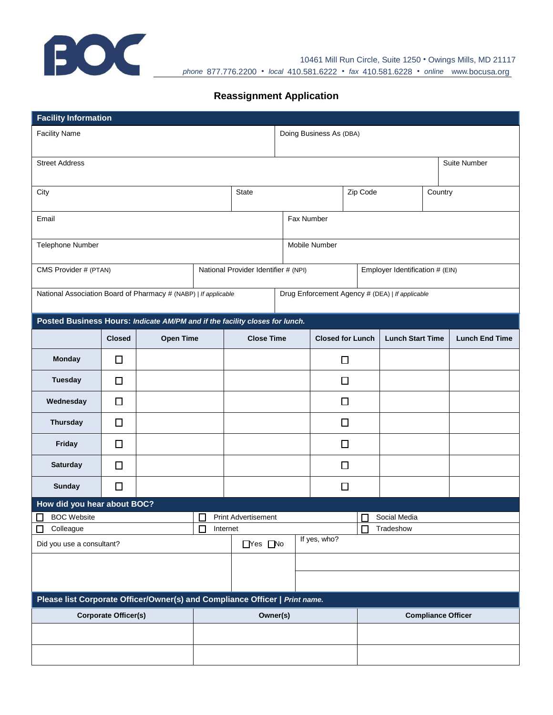

10461 Mill Run Circle, Suite 1250 • Owings Mills, MD 21117 *phone* 877.776.2200 • *local* 410.581.6222 • *fax* 410.581.6228 • *online* www*.*[bocusa.org](http://www.bocusa.org/)

## **Reassignment Application**

| <b>Facility Information</b>                                                                                        |               |                  |                                      |                                  |                         |  |                                     |                           |  |                       |  |
|--------------------------------------------------------------------------------------------------------------------|---------------|------------------|--------------------------------------|----------------------------------|-------------------------|--|-------------------------------------|---------------------------|--|-----------------------|--|
| <b>Facility Name</b>                                                                                               |               |                  |                                      |                                  | Doing Business As (DBA) |  |                                     |                           |  |                       |  |
| <b>Street Address</b>                                                                                              |               |                  |                                      |                                  |                         |  |                                     |                           |  | Suite Number          |  |
| City                                                                                                               |               |                  |                                      | <b>State</b>                     |                         |  |                                     | Zip Code<br>Country       |  |                       |  |
| Email                                                                                                              |               |                  |                                      | Fax Number                       |                         |  |                                     |                           |  |                       |  |
| Telephone Number                                                                                                   |               |                  |                                      |                                  | Mobile Number           |  |                                     |                           |  |                       |  |
| CMS Provider # (PTAN)                                                                                              |               |                  | National Provider Identifier # (NPI) |                                  |                         |  | Employer Identification # (EIN)     |                           |  |                       |  |
| National Association Board of Pharmacy # (NABP)   If applicable<br>Drug Enforcement Agency # (DEA)   If applicable |               |                  |                                      |                                  |                         |  |                                     |                           |  |                       |  |
| Posted Business Hours: Indicate AM/PM and if the facility closes for lunch.                                        |               |                  |                                      |                                  |                         |  |                                     |                           |  |                       |  |
|                                                                                                                    | <b>Closed</b> | <b>Open Time</b> |                                      | <b>Close Time</b>                |                         |  | <b>Closed for Lunch</b>             | <b>Lunch Start Time</b>   |  | <b>Lunch End Time</b> |  |
| <b>Monday</b>                                                                                                      | □             |                  |                                      |                                  |                         |  | $\Box$                              |                           |  |                       |  |
| <b>Tuesday</b>                                                                                                     | □             |                  |                                      |                                  |                         |  | □                                   |                           |  |                       |  |
| Wednesday                                                                                                          | □             |                  |                                      |                                  |                         |  | $\Box$                              |                           |  |                       |  |
| <b>Thursday</b>                                                                                                    | $\Box$        |                  |                                      |                                  |                         |  | $\Box$                              |                           |  |                       |  |
| Friday                                                                                                             | □             |                  |                                      |                                  |                         |  | □                                   |                           |  |                       |  |
| <b>Saturday</b>                                                                                                    | $\Box$        |                  |                                      |                                  |                         |  | $\Box$                              |                           |  |                       |  |
| Sunday                                                                                                             | $\Box$        |                  |                                      |                                  |                         |  | $\Box$                              |                           |  |                       |  |
| How did you hear about BOC?                                                                                        |               |                  |                                      |                                  |                         |  |                                     |                           |  |                       |  |
| $\Box$<br>BOC Website                                                                                              |               |                  |                                      | Print Advertisement              |                         |  |                                     | $\Box$<br>Social Media    |  |                       |  |
| Colleague<br>U<br>Did you use a consultant?                                                                        |               |                  | П                                    | Internet<br>$\Box$ Yes $\Box$ No |                         |  | $\Box$<br>Tradeshow<br>If yes, who? |                           |  |                       |  |
|                                                                                                                    |               |                  |                                      |                                  |                         |  |                                     |                           |  |                       |  |
|                                                                                                                    |               |                  |                                      |                                  |                         |  |                                     |                           |  |                       |  |
| Please list Corporate Officer/Owner(s) and Compliance Officer   Print name.                                        |               |                  |                                      |                                  |                         |  |                                     |                           |  |                       |  |
| <b>Corporate Officer(s)</b>                                                                                        |               |                  |                                      | Owner(s)                         |                         |  |                                     | <b>Compliance Officer</b> |  |                       |  |
|                                                                                                                    |               |                  |                                      |                                  |                         |  |                                     |                           |  |                       |  |
|                                                                                                                    |               |                  |                                      |                                  |                         |  |                                     |                           |  |                       |  |